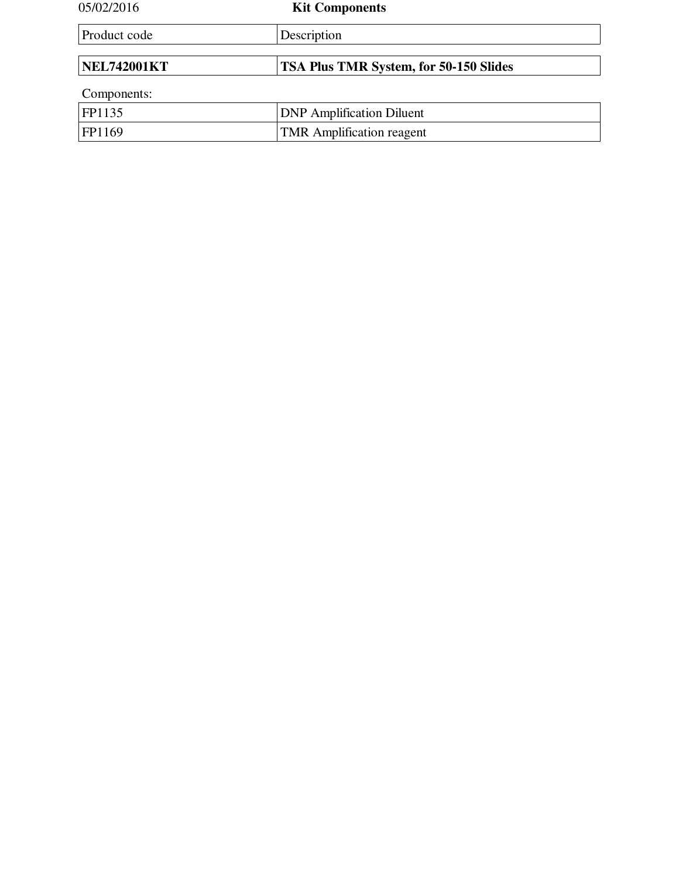| 05/02/2016         | <b>Kit Components</b>                         |
|--------------------|-----------------------------------------------|
| Product code       | Description                                   |
|                    |                                               |
| <b>NEL742001KT</b> | <b>TSA Plus TMR System, for 50-150 Slides</b> |
| Components:        |                                               |
| FP1135             | <b>DNP</b> Amplification Diluent              |
| FP1169             | <b>TMR</b> Amplification reagent              |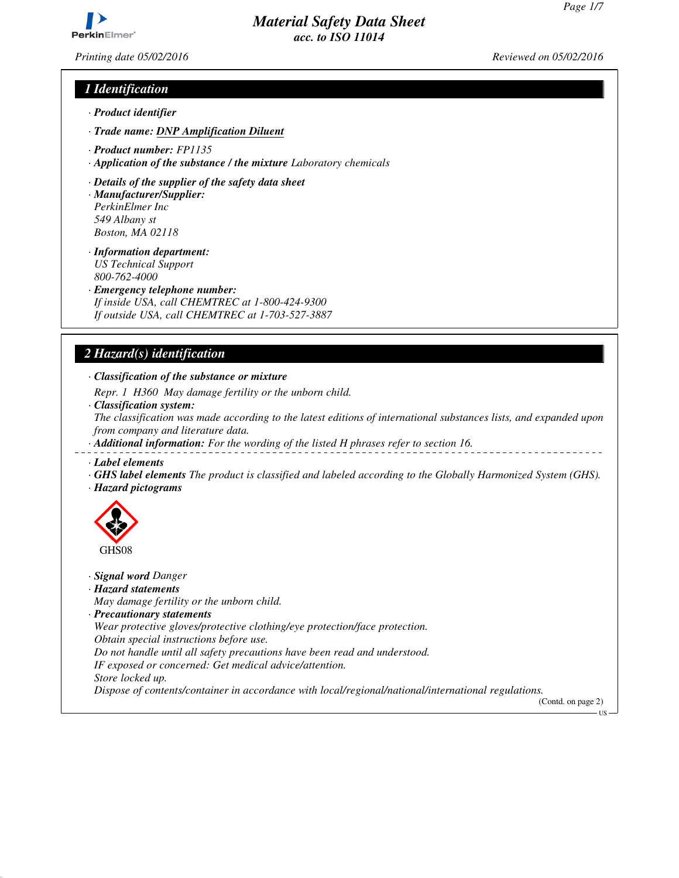

*Printing date 05/02/2016 Reviewed on 05/02/2016*

# *1 Identification*

- *· Product identifier*
- *· Trade name: DNP Amplification Diluent*
- *· Product number: FP1135*
- *· Application of the substance / the mixture Laboratory chemicals*
- *· Details of the supplier of the safety data sheet*
- *· Manufacturer/Supplier: PerkinElmer Inc 549 Albany st Boston, MA 02118*
- *· Information department: US Technical Support*
- *800-762-4000*
- *· Emergency telephone number:*
- *If inside USA, call CHEMTREC at 1-800-424-9300 If outside USA, call CHEMTREC at 1-703-527-3887*

## *2 Hazard(s) identification*

*· Classification of the substance or mixture*

*Repr. 1 H360 May damage fertility or the unborn child.*

*· Classification system:*

*The classification was made according to the latest editions of international substances lists, and expanded upon from company and literature data.*

- *· Additional information: For the wording of the listed H phrases refer to section 16.*
- *· Label elements*
- *· GHS label elements The product is classified and labeled according to the Globally Harmonized System (GHS). · Hazard pictograms*
- GHS08

*· Signal word Danger*

- *· Hazard statements*
- *May damage fertility or the unborn child.*
- *· Precautionary statements*

*Wear protective gloves/protective clothing/eye protection/face protection.*

*Obtain special instructions before use.*

*Do not handle until all safety precautions have been read and understood.*

- *IF exposed or concerned: Get medical advice/attention.*
- *Store locked up.*

*Dispose of contents/container in accordance with local/regional/national/international regulations.*

(Contd. on page 2)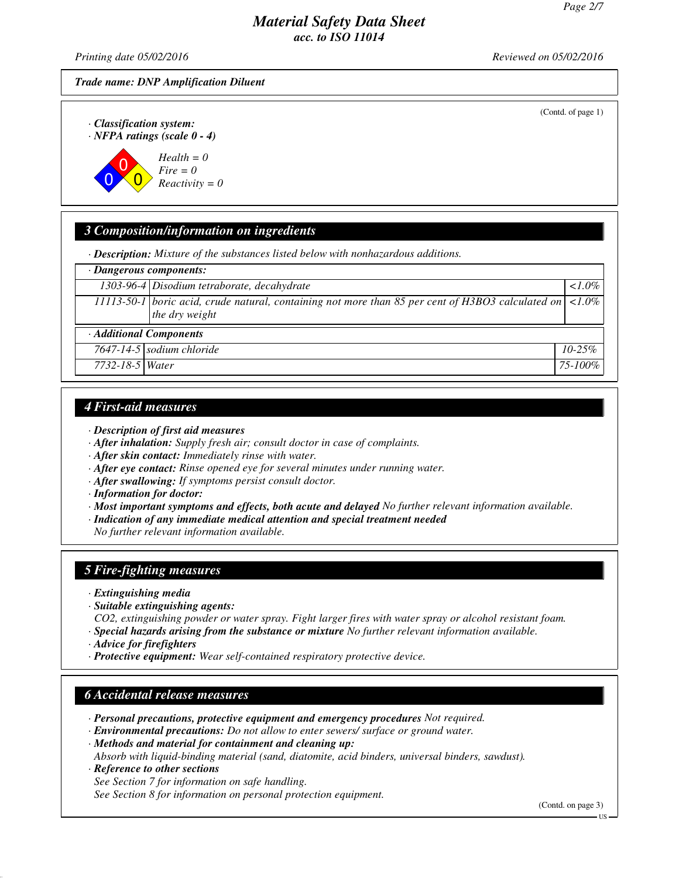*Printing date 05/02/2016 Reviewed on 05/02/2016*

*Trade name: DNP Amplification Diluent*

(Contd. of page 1)

*· Classification system: · NFPA ratings (scale 0 - 4)*



# *3 Composition/information on ingredients*

*· Description: Mixture of the substances listed below with nonhazardous additions.*

|                         | $\cdot$ Dangerous components:                                                                                                   |              |
|-------------------------|---------------------------------------------------------------------------------------------------------------------------------|--------------|
|                         | 1303-96-4 Disodium tetraborate, decahydrate                                                                                     | $1.0\%$      |
|                         | 11113-50-1   boric acid, crude natural, containing not more than 85 per cent of H3BO3 calculated on $ $ <1.0%<br>the dry weight |              |
| · Additional Components |                                                                                                                                 |              |
|                         | 7647-14-5 sodium chloride                                                                                                       | $10 - 25\%$  |
| 7732-18-5 Water         |                                                                                                                                 | $75 - 100\%$ |

## *4 First-aid measures*

- *· Description of first aid measures*
- *· After inhalation: Supply fresh air; consult doctor in case of complaints.*
- *· After skin contact: Immediately rinse with water.*
- *· After eye contact: Rinse opened eye for several minutes under running water.*
- *· After swallowing: If symptoms persist consult doctor.*
- *· Information for doctor:*
- *· Most important symptoms and effects, both acute and delayed No further relevant information available.*
- *· Indication of any immediate medical attention and special treatment needed*

*No further relevant information available.*

# *5 Fire-fighting measures*

- *· Extinguishing media*
- *· Suitable extinguishing agents:*
- *CO2, extinguishing powder or water spray. Fight larger fires with water spray or alcohol resistant foam.*
- *· Special hazards arising from the substance or mixture No further relevant information available.*
- *· Advice for firefighters*
- *· Protective equipment: Wear self-contained respiratory protective device.*

## *6 Accidental release measures*

- *· Personal precautions, protective equipment and emergency procedures Not required.*
- *· Environmental precautions: Do not allow to enter sewers/ surface or ground water.*

*· Methods and material for containment and cleaning up:*

*Absorb with liquid-binding material (sand, diatomite, acid binders, universal binders, sawdust). · Reference to other sections*

*See Section 7 for information on safe handling. See Section 8 for information on personal protection equipment.*

(Contd. on page 3)

US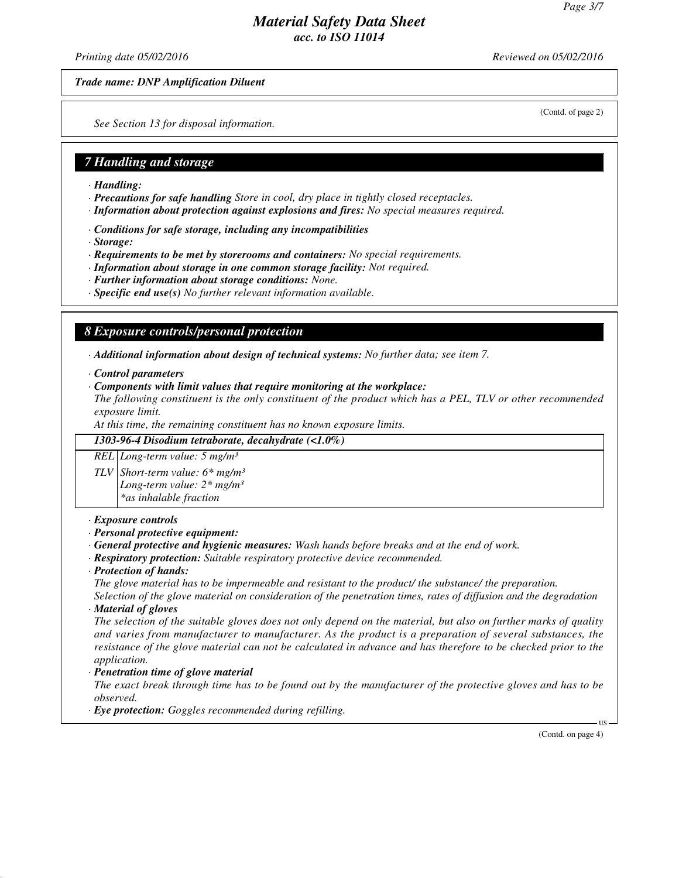*Printing date 05/02/2016 Reviewed on 05/02/2016*

*Trade name: DNP Amplification Diluent*

(Contd. of page 2)

*See Section 13 for disposal information.*

## *7 Handling and storage*

- *· Handling:*
- *· Precautions for safe handling Store in cool, dry place in tightly closed receptacles.*
- *· Information about protection against explosions and fires: No special measures required.*
- *· Conditions for safe storage, including any incompatibilities*
- *· Storage:*
- *· Requirements to be met by storerooms and containers: No special requirements.*
- *· Information about storage in one common storage facility: Not required.*
- *· Further information about storage conditions: None.*
- *· Specific end use(s) No further relevant information available.*

## *8 Exposure controls/personal protection*

*· Additional information about design of technical systems: No further data; see item 7.*

- *· Control parameters*
- *· Components with limit values that require monitoring at the workplace:*

*The following constituent is the only constituent of the product which has a PEL, TLV or other recommended exposure limit.*

*At this time, the remaining constituent has no known exposure limits.*

*1303-96-4 Disodium tetraborate, decahydrate (<1.0%)*

*REL Long-term value: 5 mg/m³*

*TLV Short-term value: 6\* mg/m³ Long-term value: 2\* mg/m³ \*as inhalable fraction*

#### *· Exposure controls*

- *· Personal protective equipment:*
- *· General protective and hygienic measures: Wash hands before breaks and at the end of work.*
- *· Respiratory protection: Suitable respiratory protective device recommended.*
- *· Protection of hands:*

*The glove material has to be impermeable and resistant to the product/ the substance/ the preparation.*

*Selection of the glove material on consideration of the penetration times, rates of diffusion and the degradation · Material of gloves*

*The selection of the suitable gloves does not only depend on the material, but also on further marks of quality and varies from manufacturer to manufacturer. As the product is a preparation of several substances, the resistance of the glove material can not be calculated in advance and has therefore to be checked prior to the application.*

#### *· Penetration time of glove material*

*The exact break through time has to be found out by the manufacturer of the protective gloves and has to be observed.*

*· Eye protection: Goggles recommended during refilling.*

(Contd. on page 4)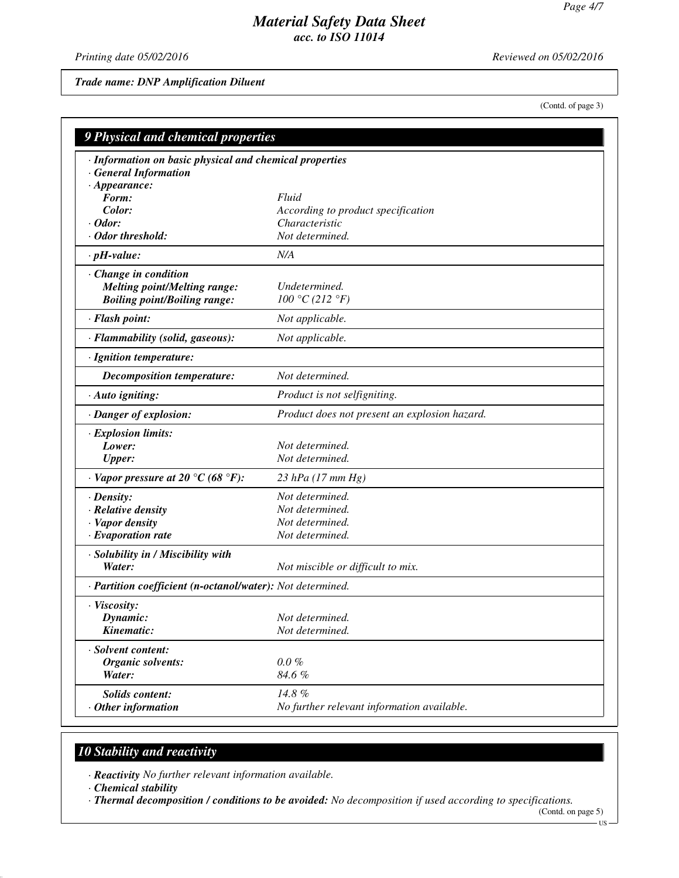*Printing date 05/02/2016 Reviewed on 05/02/2016*

*Trade name: DNP Amplification Diluent*

(Contd. of page 3)

| 9 Physical and chemical properties                                                    |                                                      |  |
|---------------------------------------------------------------------------------------|------------------------------------------------------|--|
| · Information on basic physical and chemical properties<br><b>General Information</b> |                                                      |  |
| $\cdot$ Appearance:<br>Form:                                                          |                                                      |  |
|                                                                                       | Fluid                                                |  |
| Color:<br>$\cdot$ Odor:                                                               | According to product specification<br>Characteristic |  |
| · Odor threshold:                                                                     | Not determined.                                      |  |
|                                                                                       |                                                      |  |
| $\cdot$ pH-value:                                                                     | N/A                                                  |  |
| · Change in condition                                                                 |                                                      |  |
| <b>Melting point/Melting range:</b>                                                   | Undetermined.                                        |  |
| <b>Boiling point/Boiling range:</b>                                                   | 100 °C (212 °F)                                      |  |
| · Flash point:                                                                        | Not applicable.                                      |  |
| · Flammability (solid, gaseous):                                                      | Not applicable.                                      |  |
| · Ignition temperature:                                                               |                                                      |  |
| Decomposition temperature:                                                            | Not determined.                                      |  |
| $\cdot$ Auto igniting:                                                                | Product is not selfigniting.                         |  |
| · Danger of explosion:                                                                | Product does not present an explosion hazard.        |  |
| · Explosion limits:                                                                   |                                                      |  |
| Lower:                                                                                | Not determined.                                      |  |
| <b>Upper:</b>                                                                         | Not determined.                                      |  |
| $\cdot$ Vapor pressure at 20 °C (68 °F):                                              | 23 hPa $(17 \, \text{mm Hg})$                        |  |
| · Density:                                                                            | Not determined.                                      |  |
| · Relative density                                                                    | Not determined.                                      |  |
| · Vapor density                                                                       | Not determined.                                      |  |
| · Evaporation rate                                                                    | Not determined.                                      |  |
| · Solubility in / Miscibility with                                                    |                                                      |  |
| Water:                                                                                | Not miscible or difficult to mix.                    |  |
| · Partition coefficient (n-octanol/water): Not determined.                            |                                                      |  |
| · Viscosity:                                                                          |                                                      |  |
| Dynamic:                                                                              | Not determined.                                      |  |
| Kinematic:                                                                            | Not determined.                                      |  |
| · Solvent content:                                                                    |                                                      |  |
| <b>Organic solvents:</b>                                                              | $0.0 \%$                                             |  |
| Water:                                                                                | 84.6%                                                |  |
| <b>Solids content:</b>                                                                | 14.8%                                                |  |
| $·$ Other information                                                                 | No further relevant information available.           |  |

# *10 Stability and reactivity*

*· Reactivity No further relevant information available.*

*· Chemical stability*

*· Thermal decomposition / conditions to be avoided: No decomposition if used according to specifications.*

<sup>(</sup>Contd. on page 5) US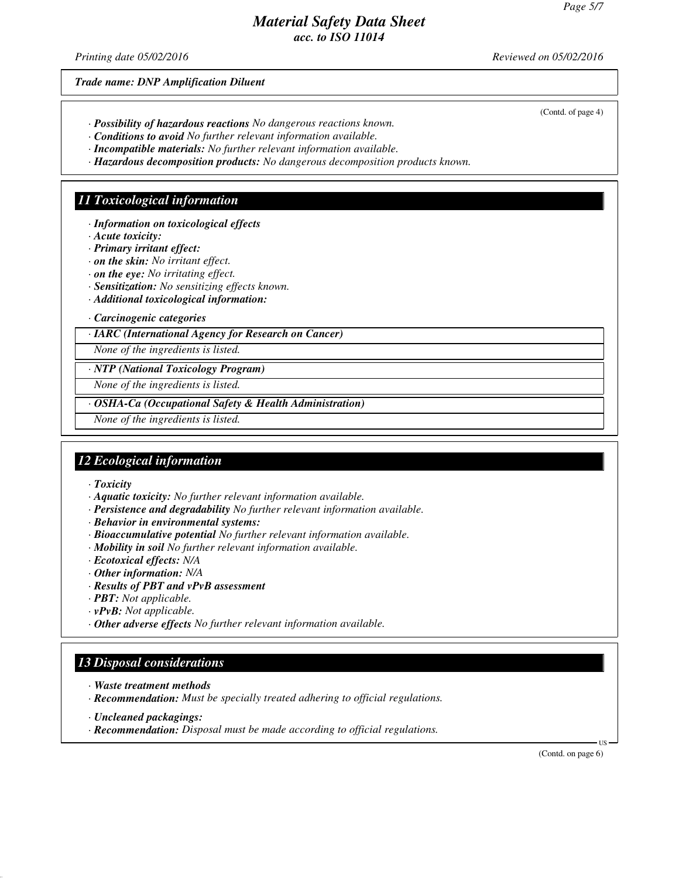*Printing date 05/02/2016 Reviewed on 05/02/2016*

*Trade name: DNP Amplification Diluent*

(Contd. of page 4)

- *· Possibility of hazardous reactions No dangerous reactions known.*
- *· Conditions to avoid No further relevant information available.*
- *· Incompatible materials: No further relevant information available.*
- *· Hazardous decomposition products: No dangerous decomposition products known.*

#### *11 Toxicological information*

- *· Information on toxicological effects*
- *· Acute toxicity:*
- *· Primary irritant effect:*
- *· on the skin: No irritant effect.*
- *· on the eye: No irritating effect.*
- *· Sensitization: No sensitizing effects known.*
- *· Additional toxicological information:*

#### *· Carcinogenic categories*

*· IARC (International Agency for Research on Cancer)*

*None of the ingredients is listed.*

*· NTP (National Toxicology Program)*

*None of the ingredients is listed.*

*· OSHA-Ca (Occupational Safety & Health Administration)*

*None of the ingredients is listed.*

# *12 Ecological information*

*· Toxicity*

- *· Aquatic toxicity: No further relevant information available.*
- *· Persistence and degradability No further relevant information available.*
- *· Behavior in environmental systems:*
- *· Bioaccumulative potential No further relevant information available.*
- *· Mobility in soil No further relevant information available.*
- *· Ecotoxical effects: N/A*
- *· Other information: N/A*
- *· Results of PBT and vPvB assessment*
- *· PBT: Not applicable.*
- *· vPvB: Not applicable.*
- *· Other adverse effects No further relevant information available.*

# *13 Disposal considerations*

- *· Waste treatment methods*
- *· Recommendation: Must be specially treated adhering to official regulations.*
- *· Uncleaned packagings:*
- *· Recommendation: Disposal must be made according to official regulations.*

(Contd. on page 6)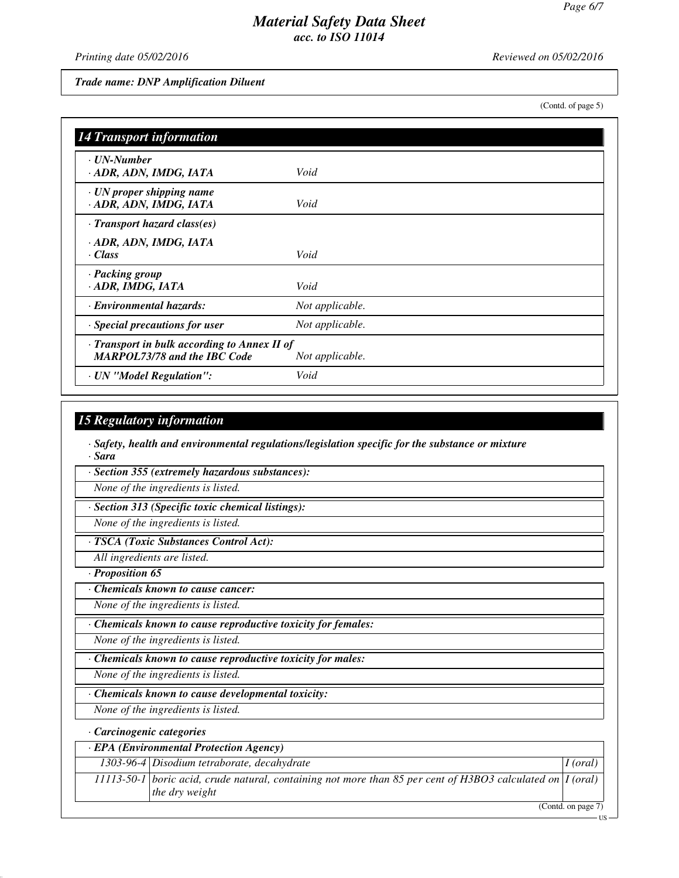*Printing date 05/02/2016 Reviewed on 05/02/2016*

*Trade name: DNP Amplification Diluent*

(Contd. of page 5)

| <b>14 Transport information</b>                                                     |                 |
|-------------------------------------------------------------------------------------|-----------------|
| · UN-Number<br>· ADR, ADN, IMDG, IATA                                               | Void            |
| $\cdot$ UN proper shipping name<br>· ADR, ADN, IMDG, IATA                           | Void            |
| $\cdot$ Transport hazard class(es)                                                  |                 |
| · ADR, ADN, IMDG, IATA<br>· Class                                                   | Void            |
| · Packing group<br>· ADR, IMDG, IATA                                                | Void            |
| · Environmental hazards:                                                            | Not applicable. |
| · Special precautions for user                                                      | Not applicable. |
| · Transport in bulk according to Annex II of<br><b>MARPOL73/78 and the IBC Code</b> | Not applicable. |
| · UN "Model Regulation":                                                            | Void            |

## *15 Regulatory information*

*· Safety, health and environmental regulations/legislation specific for the substance or mixture · Sara*

*· Section 355 (extremely hazardous substances):*

*None of the ingredients is listed.*

*· Section 313 (Specific toxic chemical listings):*

*None of the ingredients is listed.*

*· TSCA (Toxic Substances Control Act):*

*All ingredients are listed.*

*· Proposition 65*

*· Chemicals known to cause cancer:*

*None of the ingredients is listed.*

*· Chemicals known to cause reproductive toxicity for females:*

*None of the ingredients is listed.*

*· Chemicals known to cause reproductive toxicity for males:*

*None of the ingredients is listed.*

*· Chemicals known to cause developmental toxicity:*

*None of the ingredients is listed.*

## *· Carcinogenic categories*

| <b>EPA</b> (Environmental Protection Agency)                                                                                           |                     |
|----------------------------------------------------------------------------------------------------------------------------------------|---------------------|
| $1303-96-4$ Disodium tetraborate, decahydrate                                                                                          | $\vert$ I (oral)    |
| 11113-50-1   boric acid, crude natural, containing not more than 85 per cent of H3BO3 calculated on $\vert I$ (oral)<br>the dry weight |                     |
|                                                                                                                                        | $(0.011)$ $(0.011)$ |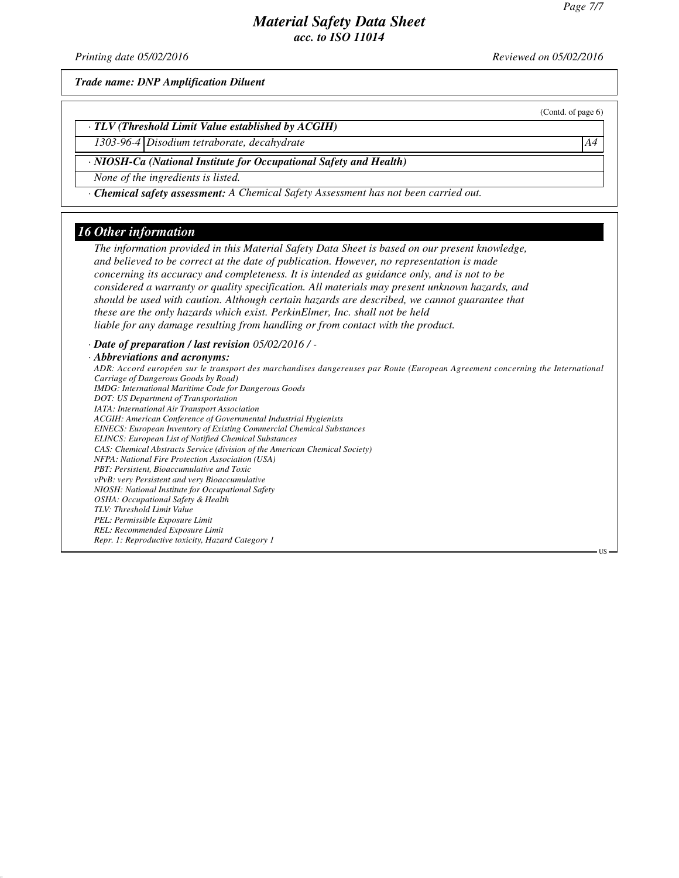*Printing date 05/02/2016 Reviewed on 05/02/2016*

*Trade name: DNP Amplification Diluent*

(Contd. of page 6)

US

*· TLV (Threshold Limit Value established by ACGIH)*

*1303-96-4 Disodium tetraborate, decahydrate A4*

*· NIOSH-Ca (National Institute for Occupational Safety and Health)*

*None of the ingredients is listed.*

*· Chemical safety assessment: A Chemical Safety Assessment has not been carried out.*

#### *16 Other information*

*The information provided in this Material Safety Data Sheet is based on our present knowledge, and believed to be correct at the date of publication. However, no representation is made concerning its accuracy and completeness. It is intended as guidance only, and is not to be considered a warranty or quality specification. All materials may present unknown hazards, and should be used with caution. Although certain hazards are described, we cannot guarantee that these are the only hazards which exist. PerkinElmer, Inc. shall not be held liable for any damage resulting from handling or from contact with the product.*

*· Date of preparation / last revision 05/02/2016 / -*

#### *· Abbreviations and acronyms:*

*ADR: Accord européen sur le transport des marchandises dangereuses par Route (European Agreement concerning the International Carriage of Dangerous Goods by Road) IMDG: International Maritime Code for Dangerous Goods DOT: US Department of Transportation IATA: International Air Transport Association ACGIH: American Conference of Governmental Industrial Hygienists EINECS: European Inventory of Existing Commercial Chemical Substances ELINCS: European List of Notified Chemical Substances CAS: Chemical Abstracts Service (division of the American Chemical Society) NFPA: National Fire Protection Association (USA) PBT: Persistent, Bioaccumulative and Toxic vPvB: very Persistent and very Bioaccumulative NIOSH: National Institute for Occupational Safety OSHA: Occupational Safety & Health TLV: Threshold Limit Value PEL: Permissible Exposure Limit REL: Recommended Exposure Limit Repr. 1: Reproductive toxicity, Hazard Category 1*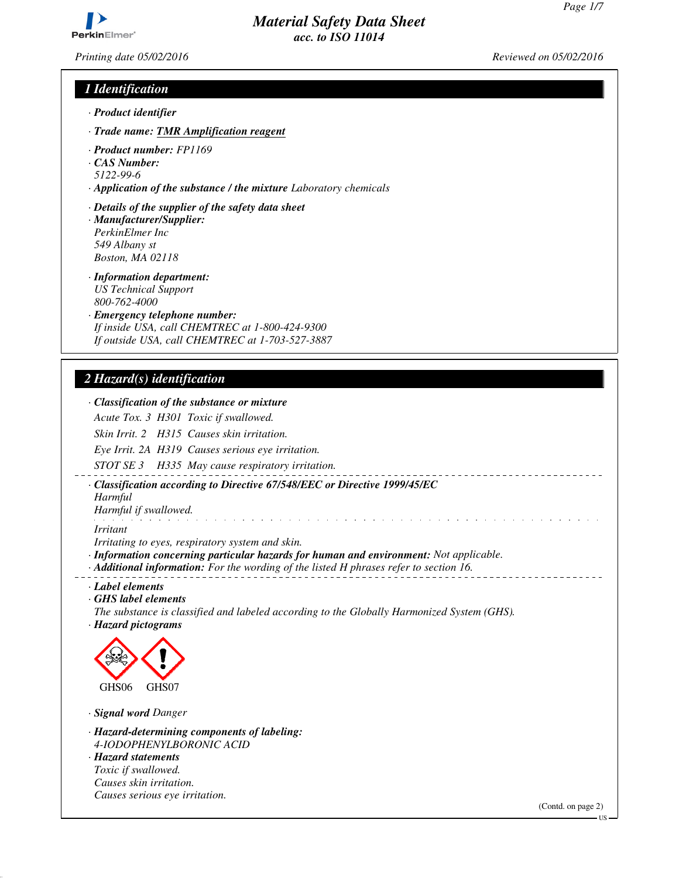*Printing date 05/02/2016 Reviewed on 05/02/2016*

# *1 Identification*

- *· Product identifier*
- *· Trade name: TMR Amplification reagent*
- *· Product number: FP1169*
- *· CAS Number:*
- *5122-99-6*
- *· Application of the substance / the mixture Laboratory chemicals*
- *· Details of the supplier of the safety data sheet · Manufacturer/Supplier: PerkinElmer Inc 549 Albany st Boston, MA 02118*
- *· Information department: US Technical Support 800-762-4000*
- *· Emergency telephone number: If inside USA, call CHEMTREC at 1-800-424-9300 If outside USA, call CHEMTREC at 1-703-527-3887*

# *2 Hazard(s) identification*

| · Classification of the substance or mixture                                                                                                                                                                                         |                          |
|--------------------------------------------------------------------------------------------------------------------------------------------------------------------------------------------------------------------------------------|--------------------------|
| Acute Tox. 3 H301 Toxic if swallowed.                                                                                                                                                                                                |                          |
| Skin Irrit. 2 H315 Causes skin irritation.                                                                                                                                                                                           |                          |
| Eye Irrit. 2A H319 Causes serious eye irritation.                                                                                                                                                                                    |                          |
| STOT SE 3 H335 May cause respiratory irritation.                                                                                                                                                                                     |                          |
| · Classification according to Directive 67/548/EEC or Directive 1999/45/EC<br>Harmful<br>Harmful if swallowed.                                                                                                                       |                          |
| <i>Irritant</i>                                                                                                                                                                                                                      |                          |
| Irritating to eyes, respiratory system and skin.<br>· Information concerning particular hazards for human and environment: Not applicable.<br>· Additional information: For the wording of the listed H phrases refer to section 16. |                          |
| · Label elements<br>GHS label elements<br>The substance is classified and labeled according to the Globally Harmonized System (GHS).<br>· Hazard pictograms                                                                          |                          |
| GHS06<br>GHS07                                                                                                                                                                                                                       |                          |
| · Signal word Danger                                                                                                                                                                                                                 |                          |
| · Hazard-determining components of labeling:<br>4-IODOPHENYLBORONIC ACID<br>· Hazard statements<br>Toxic if swallowed.<br>Causes skin irritation.                                                                                    |                          |
| Causes serious eye irritation.                                                                                                                                                                                                       | (Contd. on page 2)<br>US |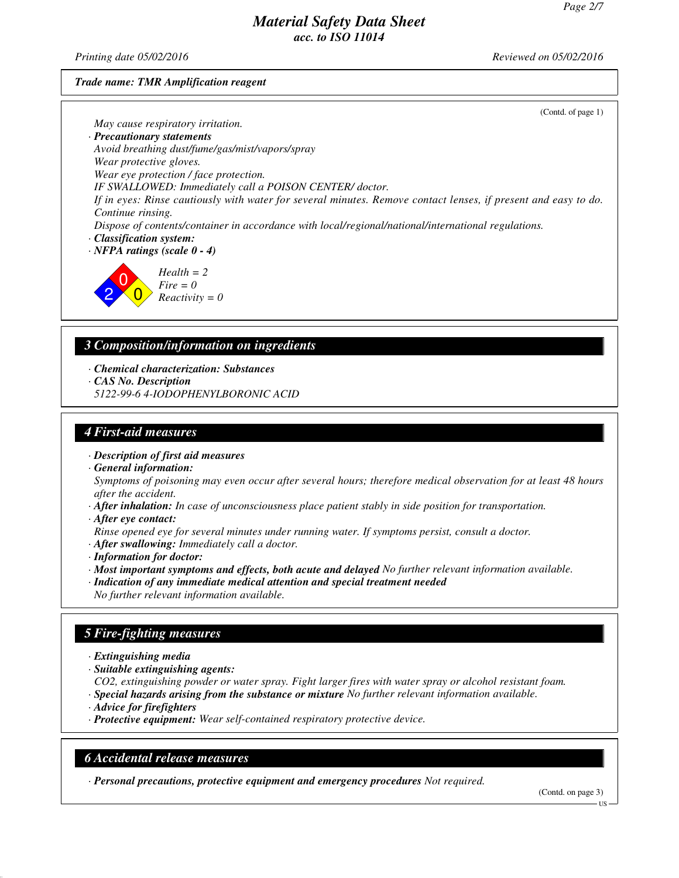*Printing date 05/02/2016 Reviewed on 05/02/2016*

*Trade name: TMR Amplification reagent*

(Contd. of page 1)

*May cause respiratory irritation.*

*· Precautionary statements*

*Avoid breathing dust/fume/gas/mist/vapors/spray*

*Wear protective gloves.*

*Wear eye protection / face protection.*

*IF SWALLOWED: Immediately call a POISON CENTER/ doctor.*

*If in eyes: Rinse cautiously with water for several minutes. Remove contact lenses, if present and easy to do. Continue rinsing.*

*Dispose of contents/container in accordance with local/regional/national/international regulations. · Classification system:*

*· NFPA ratings (scale 0 - 4)*

2  $\overline{0}$  $\overline{0}$ *Health = 2 Fire = 0 Reactivity = 0*

# *3 Composition/information on ingredients*

*· Chemical characterization: Substances*

*· CAS No. Description*

*5122-99-6 4-IODOPHENYLBORONIC ACID*

# *4 First-aid measures*

*· Description of first aid measures*

*· General information:*

*Symptoms of poisoning may even occur after several hours; therefore medical observation for at least 48 hours after the accident.*

- *· After inhalation: In case of unconsciousness place patient stably in side position for transportation.*
- *· After eye contact:*

*Rinse opened eye for several minutes under running water. If symptoms persist, consult a doctor.*

- *· After swallowing: Immediately call a doctor.*
- *· Information for doctor:*
- *· Most important symptoms and effects, both acute and delayed No further relevant information available.*
- *· Indication of any immediate medical attention and special treatment needed No further relevant information available.*

# *5 Fire-fighting measures*

- *· Extinguishing media*
- *· Suitable extinguishing agents:*

*CO2, extinguishing powder or water spray. Fight larger fires with water spray or alcohol resistant foam. · Special hazards arising from the substance or mixture No further relevant information available.*

- *· Advice for firefighters*
- *· Protective equipment: Wear self-contained respiratory protective device.*

# *6 Accidental release measures*

*· Personal precautions, protective equipment and emergency procedures Not required.*

(Contd. on page 3)

US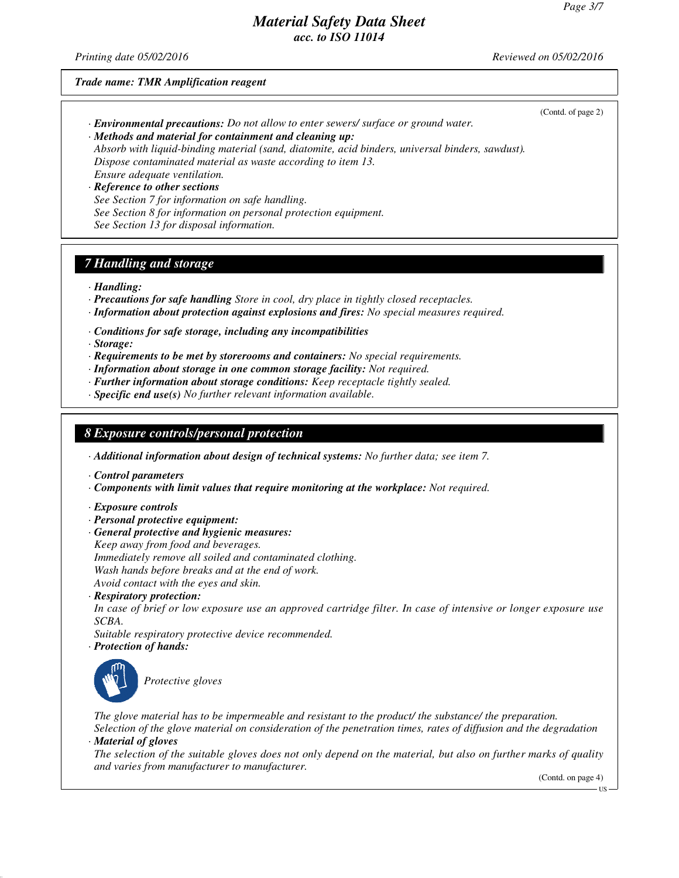(Contd. of page 2)

# *Material Safety Data Sheet acc. to ISO 11014*

*Printing date 05/02/2016 Reviewed on 05/02/2016*

#### *Trade name: TMR Amplification reagent*

- *· Environmental precautions: Do not allow to enter sewers/ surface or ground water.*
- *· Methods and material for containment and cleaning up:*

*Absorb with liquid-binding material (sand, diatomite, acid binders, universal binders, sawdust). Dispose contaminated material as waste according to item 13.*

*Ensure adequate ventilation.*

*· Reference to other sections See Section 7 for information on safe handling.*

*See Section 8 for information on personal protection equipment. See Section 13 for disposal information.*

# *7 Handling and storage*

*· Handling:*

- *· Precautions for safe handling Store in cool, dry place in tightly closed receptacles.*
- *· Information about protection against explosions and fires: No special measures required.*
- *· Conditions for safe storage, including any incompatibilities*

*· Storage:*

- *· Requirements to be met by storerooms and containers: No special requirements.*
- *· Information about storage in one common storage facility: Not required.*
- *· Further information about storage conditions: Keep receptacle tightly sealed.*
- *· Specific end use(s) No further relevant information available.*

#### *8 Exposure controls/personal protection*

*· Additional information about design of technical systems: No further data; see item 7.*

*· Control parameters*

*· Components with limit values that require monitoring at the workplace: Not required.*

- *· Exposure controls*
- *· Personal protective equipment:*
- *· General protective and hygienic measures:*
- *Keep away from food and beverages.*

*Immediately remove all soiled and contaminated clothing.*

*Wash hands before breaks and at the end of work.*

*Avoid contact with the eyes and skin.*

*· Respiratory protection:*

*In case of brief or low exposure use an approved cartridge filter. In case of intensive or longer exposure use SCBA.*

- *Suitable respiratory protective device recommended.*
- *· Protection of hands:*



*Protective gloves*

*The glove material has to be impermeable and resistant to the product/ the substance/ the preparation.*

*Selection of the glove material on consideration of the penetration times, rates of diffusion and the degradation · Material of gloves*

*The selection of the suitable gloves does not only depend on the material, but also on further marks of quality and varies from manufacturer to manufacturer.*

(Contd. on page 4)

US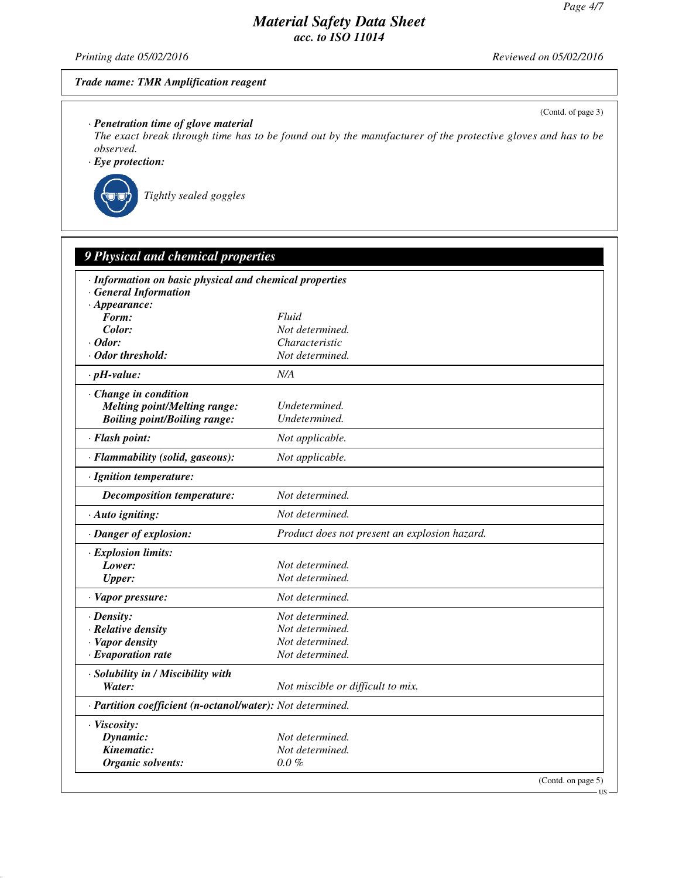(Contd. of page 3)

US

# *Material Safety Data Sheet acc. to ISO 11014*

*Printing date 05/02/2016 Reviewed on 05/02/2016*

#### *Trade name: TMR Amplification reagent*

*· Penetration time of glove material*

*The exact break through time has to be found out by the manufacturer of the protective gloves and has to be observed.*

*· Eye protection:*



| · Information on basic physical and chemical properties    |                                               |  |
|------------------------------------------------------------|-----------------------------------------------|--|
| <b>General Information</b>                                 |                                               |  |
| $\cdot$ Appearance:                                        |                                               |  |
| Form:                                                      | Fluid                                         |  |
| Color:                                                     | Not determined.                               |  |
| $\cdot$ Odor:                                              | Characteristic                                |  |
| · Odor threshold:                                          | Not determined.                               |  |
| $\cdot$ pH-value:                                          | N/A                                           |  |
| · Change in condition                                      |                                               |  |
| <b>Melting point/Melting range:</b>                        | Undetermined.                                 |  |
| <b>Boiling point/Boiling range:</b>                        | Undetermined.                                 |  |
| · Flash point:                                             | Not applicable.                               |  |
| · Flammability (solid, gaseous):                           | Not applicable.                               |  |
| · Ignition temperature:                                    |                                               |  |
| <b>Decomposition temperature:</b>                          | Not determined.                               |  |
| · Auto igniting:                                           | Not determined.                               |  |
| · Danger of explosion:                                     | Product does not present an explosion hazard. |  |
| · Explosion limits:                                        |                                               |  |
| Lower:                                                     | Not determined.                               |  |
| <b>Upper:</b>                                              | Not determined.                               |  |
| · Vapor pressure:                                          | Not determined.                               |  |
| $\cdot$ Density:                                           | Not determined.                               |  |
| · Relative density                                         | Not determined.                               |  |
| · Vapor density                                            | Not determined.                               |  |
| $\cdot$ Evaporation rate                                   | Not determined.                               |  |
| · Solubility in / Miscibility with                         |                                               |  |
| Water:                                                     | Not miscible or difficult to mix.             |  |
| · Partition coefficient (n-octanol/water): Not determined. |                                               |  |
| · Viscosity:                                               |                                               |  |
| Dynamic:                                                   | Not determined.                               |  |
| Kinematic:                                                 | Not determined.                               |  |
| Organic solvents:                                          | $0.0\%$                                       |  |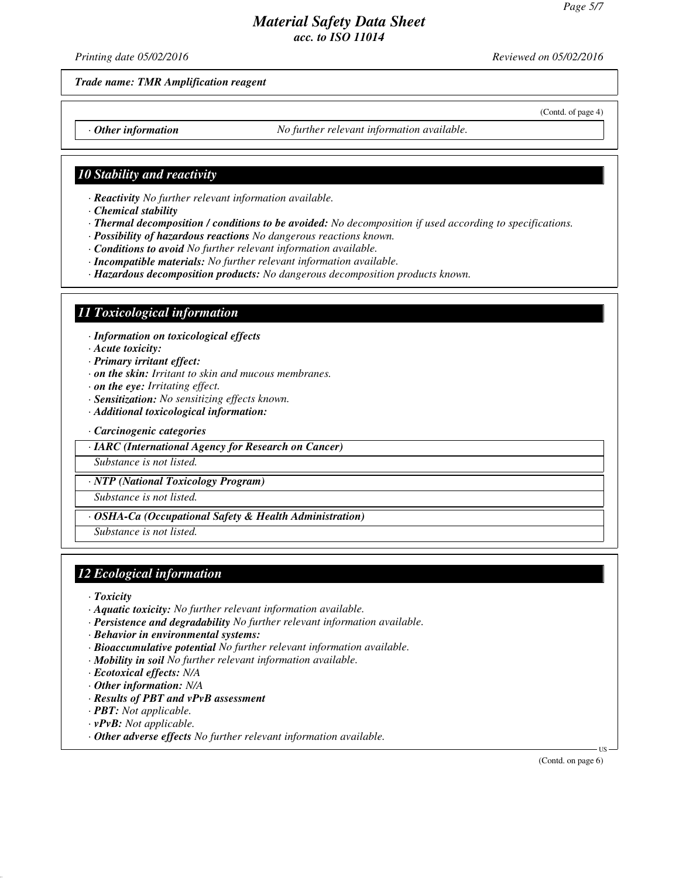(Contd. of page 4)

# *Material Safety Data Sheet acc. to ISO 11014*

*Printing date 05/02/2016 Reviewed on 05/02/2016*

#### *Trade name: TMR Amplification reagent*

*· Other information No further relevant information available.*

## *10 Stability and reactivity*

*· Reactivity No further relevant information available.*

- *· Chemical stability*
- *· Thermal decomposition / conditions to be avoided: No decomposition if used according to specifications.*
- *· Possibility of hazardous reactions No dangerous reactions known.*
- *· Conditions to avoid No further relevant information available.*
- *· Incompatible materials: No further relevant information available.*
- *· Hazardous decomposition products: No dangerous decomposition products known.*

## *11 Toxicological information*

*· Information on toxicological effects*

*· Acute toxicity:*

- *· Primary irritant effect:*
- *· on the skin: Irritant to skin and mucous membranes.*
- *· on the eye: Irritating effect.*
- *· Sensitization: No sensitizing effects known.*
- *· Additional toxicological information:*
- *· Carcinogenic categories*
- *· IARC (International Agency for Research on Cancer)*

*Substance is not listed.*

*· NTP (National Toxicology Program)*

*Substance is not listed.*

*· OSHA-Ca (Occupational Safety & Health Administration)*

*Substance is not listed.*

# *12 Ecological information*

- *· Toxicity*
- *· Aquatic toxicity: No further relevant information available.*
- *· Persistence and degradability No further relevant information available.*
- *· Behavior in environmental systems:*
- *· Bioaccumulative potential No further relevant information available.*
- *· Mobility in soil No further relevant information available.*
- *· Ecotoxical effects: N/A*
- *· Other information: N/A*
- *· Results of PBT and vPvB assessment*
- *· PBT: Not applicable.*
- *· vPvB: Not applicable.*
- *· Other adverse effects No further relevant information available.*

(Contd. on page 6)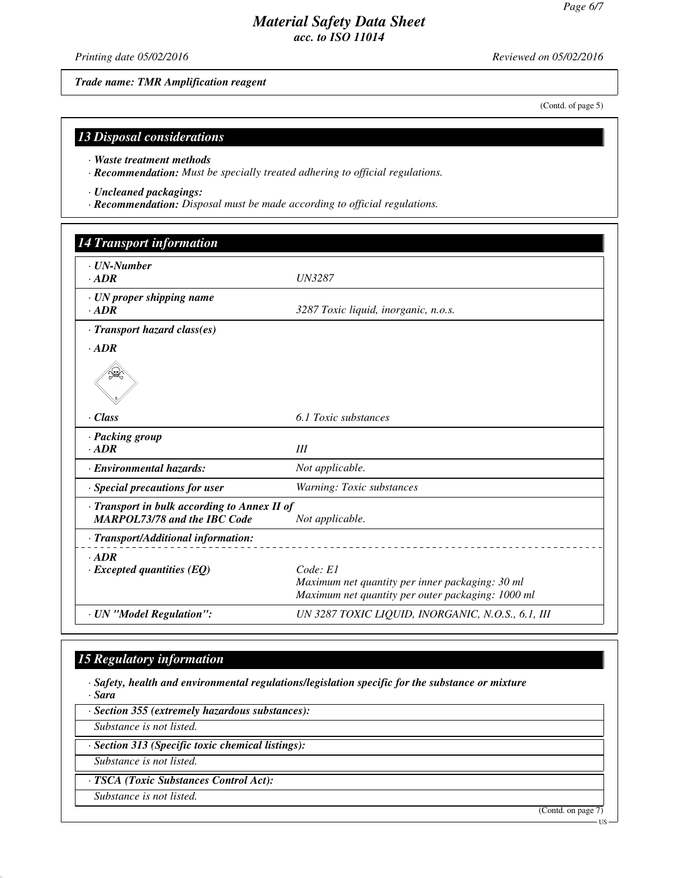(Contd. of page 5)

# *Material Safety Data Sheet acc. to ISO 11014*

*Printing date 05/02/2016 Reviewed on 05/02/2016*

*Trade name: TMR Amplification reagent*

*13 Disposal considerations*

*· Waste treatment methods*

*· Recommendation: Must be specially treated adhering to official regulations.*

*· Uncleaned packagings:*

*· Recommendation: Disposal must be made according to official regulations.*

| · <b><i>UN-Number</i></b>                                                           |                                                                                                                  |
|-------------------------------------------------------------------------------------|------------------------------------------------------------------------------------------------------------------|
| $-ADR$                                                                              | <b>UN3287</b>                                                                                                    |
| · UN proper shipping name<br>$-ADR$                                                 | 3287 Toxic liquid, inorganic, n.o.s.                                                                             |
| · Transport hazard class(es)                                                        |                                                                                                                  |
| $\cdot$ ADR                                                                         |                                                                                                                  |
|                                                                                     |                                                                                                                  |
| · Class                                                                             | 6.1 Toxic substances                                                                                             |
| · Packing group<br>$-ADR$                                                           | Ш                                                                                                                |
| · Environmental hazards:                                                            | Not applicable.                                                                                                  |
| · Special precautions for user                                                      | Warning: Toxic substances                                                                                        |
| · Transport in bulk according to Annex II of<br><b>MARPOL73/78 and the IBC Code</b> | Not applicable.                                                                                                  |
| · Transport/Additional information:                                                 |                                                                                                                  |
| $\cdot$ ADR<br>$\cdot$ Excepted quantities (EQ)                                     | Code: El<br>Maximum net quantity per inner packaging: 30 ml<br>Maximum net quantity per outer packaging: 1000 ml |
| · UN "Model Regulation":                                                            | UN 3287 TOXIC LIQUID, INORGANIC, N.O.S., 6.1, III                                                                |

# *15 Regulatory information*

*· Safety, health and environmental regulations/legislation specific for the substance or mixture · Sara*

*· Section 355 (extremely hazardous substances): Substance is not listed. · Section 313 (Specific toxic chemical listings): Substance is not listed. · TSCA (Toxic Substances Control Act): Substance is not listed.* (Contd. on page 7) US